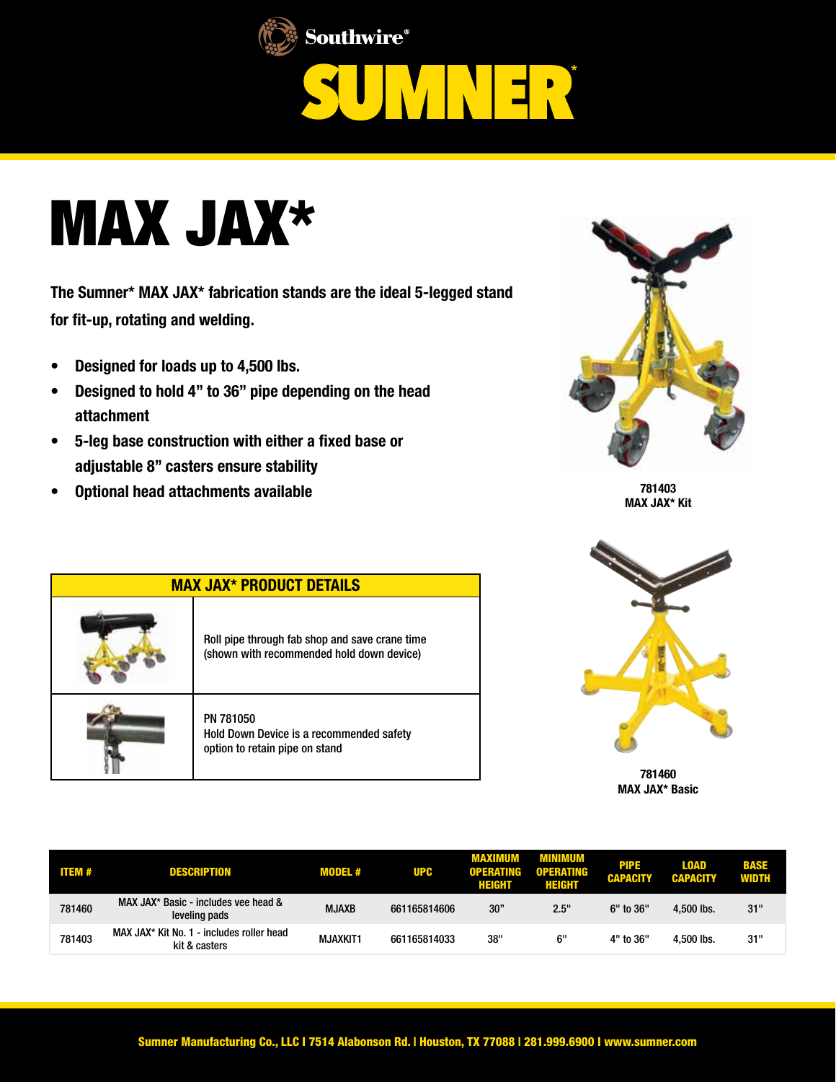





The Sumner\* MAX JAX\* fabrication stands are the ideal 5-legged stand for fit-up, rotating and welding.

- Designed for loads up to 4,500 lbs.
- Designed to hold 4" to 36" pipe depending on the head attachment
- 5-leg base construction with either a fixed base or adjustable 8" casters ensure stability
- Optional head attachments available



781403 MAX JAX\* Kit





781460 MAX JAX\* Basic

| <b>ITEM#</b> | <b>DESCRIPTION</b>                                         | <b>MODEL#</b>   | <b>UPC</b>   | MAXIMUM<br><b>OPERATING</b><br>HEIGHT | MINIMUM<br><b>OPERATING</b><br>HEIGHT | <b>PIPE</b><br><b>CAPACITY</b> | <b>LOAD</b><br><b>CAPACITY</b> | <b>BASE</b><br><b>WIDTH</b> |
|--------------|------------------------------------------------------------|-----------------|--------------|---------------------------------------|---------------------------------------|--------------------------------|--------------------------------|-----------------------------|
| 781460       | MAX JAX* Basic - includes vee head &<br>leveling pads      | <b>MJAXB</b>    | 661165814606 | 30"                                   | 2.5"                                  | 6" to 36"                      | 4.500 lbs.                     | 31"                         |
| 781403       | MAX JAX* Kit No. 1 - includes roller head<br>kit & casters | <b>MJAXKIT1</b> | 661165814033 | 38"                                   | 6"                                    | 4" to 36"                      | 4.500 lbs.                     | 31"                         |